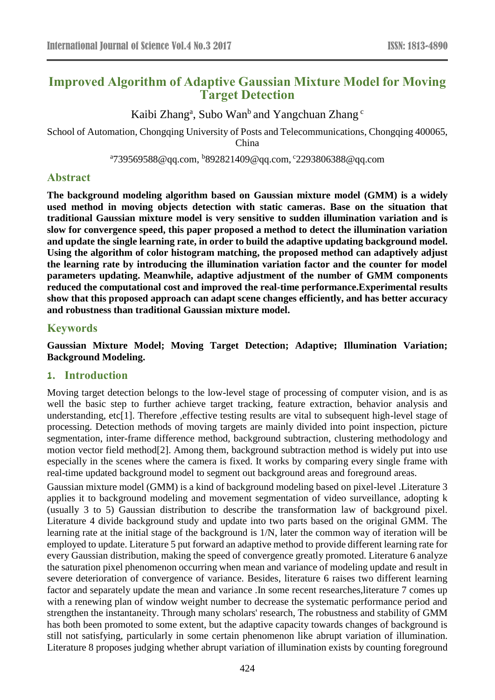# **Improved Algorithm of Adaptive Gaussian Mixture Model for Moving Target Detection**

Kaibi Zhang<sup>a</sup>, Subo Wan<sup>b</sup> and Yangchuan Zhang c

School of Automation, Chongqing University of Posts and Telecommunications, Chongqing 400065, China

<sup>a</sup>739569588@qq.com, <sup>b</sup>892821409@qq.com, <sup>c</sup>2293806388@qq.com

## **Abstract**

**The background modeling algorithm based on Gaussian mixture model (GMM) is a widely used method in moving objects detection with static cameras. Base on the situation that traditional Gaussian mixture model is very sensitive to sudden illumination variation and is slow for convergence speed, this paper proposed a method to detect the illumination variation and update the single learning rate, in order to build the adaptive updating background model. Using the algorithm of color histogram matching, the proposed method can adaptively adjust the learning rate by introducing the illumination variation factor and the counter for model parameters updating. Meanwhile, adaptive adjustment of the number of GMM components reduced the computational cost and improved the real-time performance.Experimental results show that this proposed approach can adapt scene changes efficiently, and has better accuracy and robustness than traditional Gaussian mixture model.**

# **Keywords**

**Gaussian Mixture Model; Moving Target Detection; Adaptive; Illumination Variation; Background Modeling.**

## **1. Introduction**

Moving target detection belongs to the low-level stage of processing of computer vision, and is as well the basic step to further achieve target tracking, feature extraction, behavior analysis and understanding, etc[1]. Therefore ,effective testing results are vital to subsequent high-level stage of processing. Detection methods of moving targets are mainly divided into point inspection, picture segmentation, inter-frame difference method, background subtraction, clustering methodology and motion vector field method[2]. Among them, background subtraction method is widely put into use especially in the scenes where the camera is fixed. It works by comparing every single frame with real-time updated background model to segment out background areas and foreground areas.

Gaussian mixture model (GMM) is a kind of background modeling based on pixel-level .Literature 3 applies it to background modeling and movement segmentation of video surveillance, adopting k (usually 3 to 5) Gaussian distribution to describe the transformation law of background pixel. Literature 4 divide background study and update into two parts based on the original GMM. The learning rate at the initial stage of the background is 1/N, later the common way of iteration will be employed to update. Literature 5 put forward an adaptive method to provide different learning rate for every Gaussian distribution, making the speed of convergence greatly promoted. Literature 6 analyze the saturation pixel phenomenon occurring when mean and variance of modeling update and result in severe deterioration of convergence of variance. Besides, literature 6 raises two different learning factor and separately update the mean and variance .In some recent researches,literature 7 comes up with a renewing plan of window weight number to decrease the systematic performance period and strengthen the instantaneity. Through many scholars' research, The robustness and stability of GMM has both been promoted to some extent, but the adaptive capacity towards changes of background is still not satisfying, particularly in some certain phenomenon like abrupt variation of illumination. Literature 8 proposes judging whether abrupt variation of illumination exists by counting foreground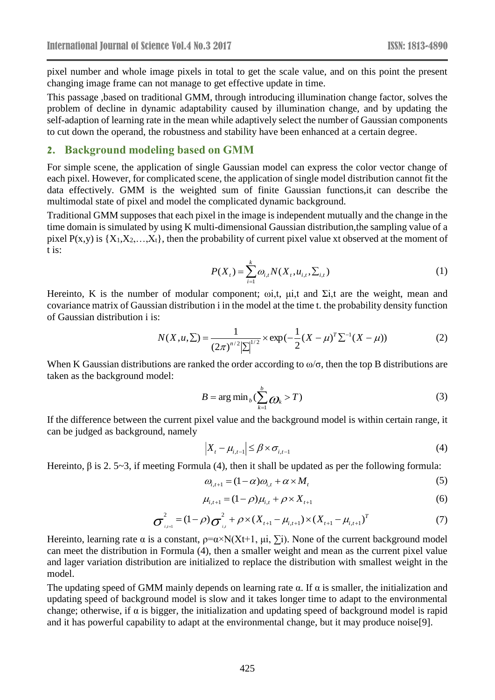pixel number and whole image pixels in total to get the scale value, and on this point the present changing image frame can not manage to get effective update in time.

This passage ,based on traditional GMM, through introducing illumination change factor, solves the problem of decline in dynamic adaptability caused by illumination change, and by updating the self-adaption of learning rate in the mean while adaptively select the number of Gaussian components to cut down the operand, the robustness and stability have been enhanced at a certain degree.

### **2. Background modeling based on GMM**

For simple scene, the application of single Gaussian model can express the color vector change of each pixel. However, for complicated scene, the application of single model distribution cannot fit the data effectively. GMM is the weighted sum of finite Gaussian functions,it can describe the multimodal state of pixel and model the complicated dynamic background.

Traditional GMM supposes that each pixel in the image is independent mutually and the change in the time domain is simulated by using K multi-dimensional Gaussian distribution,the sampling value of a pixel  $P(x,y)$  is  $\{X_1, X_2, \ldots, X_t\}$ , then the probability of current pixel value xt observed at the moment of t is:

$$
P(X_{t}) = \sum_{i=1}^{k} \omega_{i,t} N(X_{t}, u_{i,t}, \Sigma_{i,t})
$$
\n(1)

Hereinto, K is the number of modular component;  $\omega$ ,  $\mu$ ,  $\mu$ , and  $\Sigma$ , are the weight, mean and covariance matrix of Gaussian distribution i in the model at the time t. the probability density function of Gaussian distribution i is:

$$
N(X, u, \Sigma) = \frac{1}{(2\pi)^{n/2} |\Sigma|^{1/2}} \times \exp(-\frac{1}{2}(X - \mu)^T \Sigma^{-1} (X - \mu))
$$
 (2)

When K Gaussian distributions are ranked the order according to  $\omega/\sigma$ , then the top B distributions are taken as the background model:

$$
B = \arg\min_{b} (\sum_{k=1}^{b} Q_k > T)
$$
 (3)

If the difference between the current pixel value and the background model is within certain range, it can be judged as background, namely

$$
\left|X_{t} - \mu_{i,t-1}\right| \leq \beta \times \sigma_{i,t-1} \tag{4}
$$

Hereinto,  $\beta$  is 2. 5~3, if meeting Formula (4), then it shall be updated as per the following formula:

$$
\omega_{i,t+1} = (1 - \alpha)\omega_{i,t} + \alpha \times M_t \tag{5}
$$

$$
\mu_{i,t+1} = (1 - \rho)\mu_{i,t} + \rho \times X_{t+1}
$$
\n(6)

$$
\sigma_{i,t+1}^{2} = (1 - \rho)\sigma_{i,t}^{2} + \rho \times (X_{t+1} - \mu_{i,t+1}) \times (X_{t+1} - \mu_{i,t+1})^{T}
$$
(7)

Hereinto, learning rate  $\alpha$  is a constant,  $\rho = \alpha \times N(Xt+1, \mu i, \Sigma i)$ . None of the current background model can meet the distribution in Formula (4), then a smaller weight and mean as the current pixel value and lager variation distribution are initialized to replace the distribution with smallest weight in the model.

The updating speed of GMM mainly depends on learning rate  $\alpha$ . If  $\alpha$  is smaller, the initialization and updating speed of background model is slow and it takes longer time to adapt to the environmental change; otherwise, if  $\alpha$  is bigger, the initialization and updating speed of background model is rapid and it has powerful capability to adapt at the environmental change, but it may produce noise[9].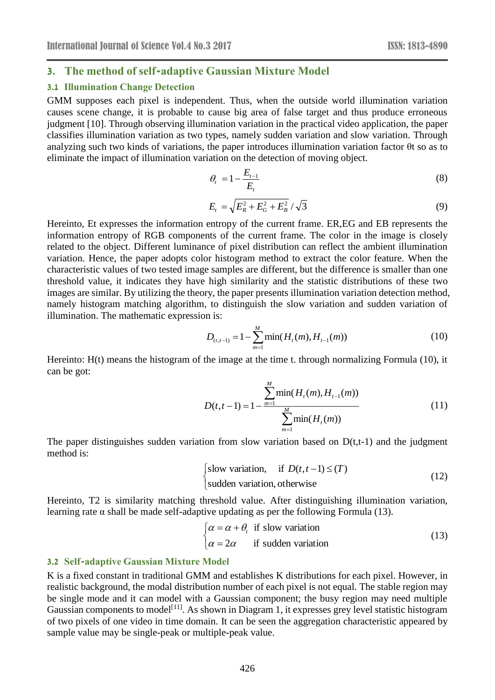## **3. The method of self-adaptive Gaussian Mixture Model**

#### **3.1 Illumination Change Detection**

GMM supposes each pixel is independent. Thus, when the outside world illumination variation causes scene change, it is probable to cause big area of false target and thus produce erroneous judgment [10]. Through observing illumination variation in the practical video application, the paper classifies illumination variation as two types, namely sudden variation and slow variation. Through analyzing such two kinds of variations, the paper introduces illumination variation factor θt so as to eliminate the impact of illumination variation on the detection of moving object.

$$
\theta_t = 1 - \frac{E_{t-1}}{E_t} \tag{8}
$$

$$
E_t = \sqrt{E_R^2 + E_G^2 + E_B^2} / \sqrt{3}
$$
 (9)

Hereinto, Et expresses the information entropy of the current frame. ER,EG and EB represents the information entropy of RGB components of the current frame. The color in the image is closely related to the object. Different luminance of pixel distribution can reflect the ambient illumination variation. Hence, the paper adopts color histogram method to extract the color feature. When the characteristic values of two tested image samples are different, but the difference is smaller than one threshold value, it indicates they have high similarity and the statistic distributions of these two images are similar. By utilizing the theory, the paper presents illumination variation detection method, namely histogram matching algorithm, to distinguish the slow variation and sudden variation of illumination. The mathematic expression is:

$$
D_{(t,t-1)} = 1 - \sum_{m=1}^{M} \min(H_t(m), H_{t-1}(m))
$$
\n(10)

Hereinto: H(t) means the histogram of the image at the time t. through normalizing Formula (10), it can be got:

$$
D(t, t-1) = 1 - \frac{\sum_{m=1}^{M} \min(H_t(m), H_{t-1}(m))}{\sum_{m=1}^{M} \min(H_t(m))}
$$
(11)

The paper distinguishes sudden variation from slow variation based on  $D(t,t-1)$  and the judgment method is:

$$
\begin{cases}\n\text{slow variation,} & \text{if } D(t, t-1) \leq (T) \\
\text{sudden variation, otherwise}\n\end{cases} (12)
$$

Hereinto, T2 is similarity matching threshold value. After distinguishing illumination variation, learning rate  $\alpha$  shall be made self-adaptive updating as per the following Formula (13).

$$
\begin{cases}\n\alpha = \alpha + \theta_t & \text{if slow variation} \\
\alpha = 2\alpha & \text{if sudden variation}\n\end{cases}
$$
\n(13)

#### **3.2 Self-adaptive Gaussian Mixture Model**

K is a fixed constant in traditional GMM and establishes K distributions for each pixel. However, in realistic background, the modal distribution number of each pixel is not equal. The stable region may be single mode and it can model with a Gaussian component; the busy region may need multiple Gaussian components to model<sup>[11]</sup>. As shown in Diagram 1, it expresses grey level statistic histogram of two pixels of one video in time domain. It can be seen the aggregation characteristic appeared by sample value may be single-peak or multiple-peak value.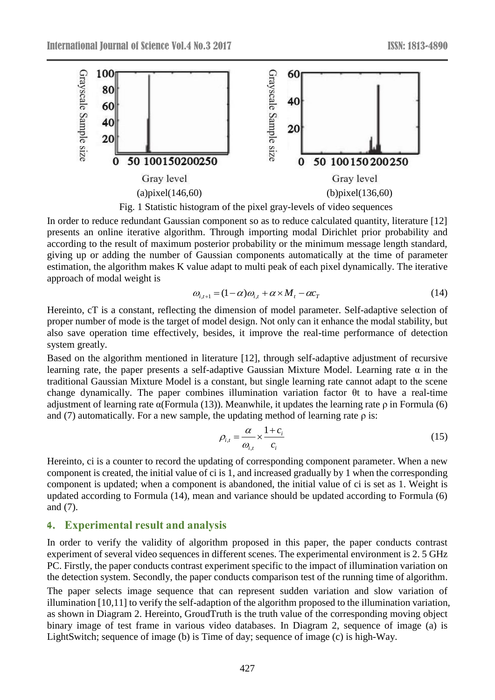

In order to reduce redundant Gaussian component so as to reduce calculated quantity, literature [12] presents an online iterative algorithm. Through importing modal Dirichlet prior probability and according to the result of maximum posterior probability or the minimum message length standard, giving up or adding the number of Gaussian components automatically at the time of parameter estimation, the algorithm makes K value adapt to multi peak of each pixel dynamically. The iterative approach of modal weight is

$$
\omega_{i,t+1} = (1 - \alpha)\omega_{i,t} + \alpha \times M_t - \alpha c_T \tag{14}
$$

Hereinto, cT is a constant, reflecting the dimension of model parameter. Self-adaptive selection of proper number of mode is the target of model design. Not only can it enhance the modal stability, but also save operation time effectively, besides, it improve the real-time performance of detection system greatly.

Based on the algorithm mentioned in literature [12], through self-adaptive adjustment of recursive learning rate, the paper presents a self-adaptive Gaussian Mixture Model. Learning rate α in the traditional Gaussian Mixture Model is a constant, but single learning rate cannot adapt to the scene change dynamically. The paper combines illumination variation factor θt to have a real-time adjustment of learning rate  $\alpha$ (Formula (13)). Meanwhile, it updates the learning rate  $\rho$  in Formula (6) and (7) automatically. For a new sample, the updating method of learning rate  $\rho$  is:

$$
\rho_{i,t} = \frac{\alpha}{\omega_{i,t}} \times \frac{1+c_i}{c_i} \tag{15}
$$

Hereinto, ci is a counter to record the updating of corresponding component parameter. When a new component is created, the initial value of ci is 1, and increased gradually by 1 when the corresponding component is updated; when a component is abandoned, the initial value of ci is set as 1. Weight is updated according to Formula (14), mean and variance should be updated according to Formula (6) and (7).

# **4. Experimental result and analysis**

In order to verify the validity of algorithm proposed in this paper, the paper conducts contrast experiment of several video sequences in different scenes. The experimental environment is 2. 5 GHz PC. Firstly, the paper conducts contrast experiment specific to the impact of illumination variation on the detection system. Secondly, the paper conducts comparison test of the running time of algorithm. The paper selects image sequence that can represent sudden variation and slow variation of illumination [10,11] to verify the self-adaption of the algorithm proposed to the illumination variation, as shown in Diagram 2. Hereinto, GroudTruth is the truth value of the corresponding moving object binary image of test frame in various video databases. In Diagram 2, sequence of image (a) is LightSwitch; sequence of image (b) is Time of day; sequence of image (c) is high-Way.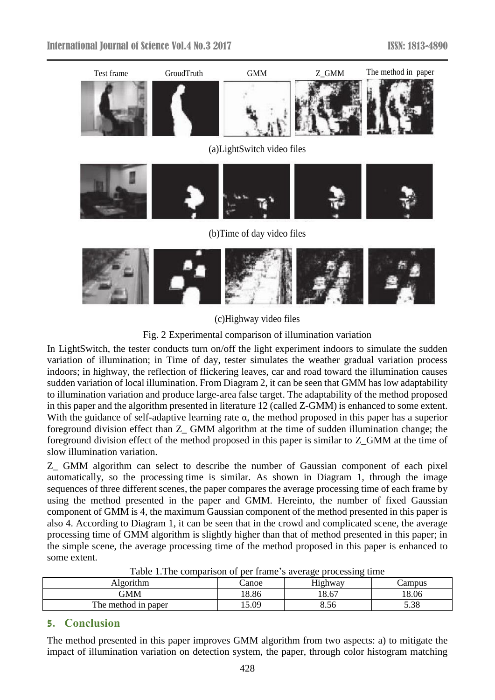



(c)Highway video files

Fig. 2 Experimental comparison of illumination variation

In LightSwitch, the tester conducts turn on/off the light experiment indoors to simulate the sudden variation of illumination; in Time of day, tester simulates the weather gradual variation process indoors; in highway, the reflection of flickering leaves, car and road toward the illumination causes sudden variation of local illumination. From Diagram 2, it can be seen that GMM has low adaptability to illumination variation and produce large-area false target. The adaptability of the method proposed in this paper and the algorithm presented in literature 12 (called Z-GMM) is enhanced to some extent. With the guidance of self-adaptive learning rate  $\alpha$ , the method proposed in this paper has a superior foreground division effect than Z\_ GMM algorithm at the time of sudden illumination change; the foreground division effect of the method proposed in this paper is similar to Z\_GMM at the time of slow illumination variation.

Z\_ GMM algorithm can select to describe the number of Gaussian component of each pixel automatically, so the processing time is similar. As shown in Diagram 1, through the image sequences of three different scenes, the paper compares the average processing time of each frame by using the method presented in the paper and GMM. Hereinto, the number of fixed Gaussian component of GMM is 4, the maximum Gaussian component of the method presented in this paper is also 4. According to Diagram 1, it can be seen that in the crowd and complicated scene, the average processing time of GMM algorithm is slightly higher than that of method presented in this paper; in the simple scene, the average processing time of the method proposed in this paper is enhanced to some extent.

| -------<br>-------  |       |                                     |        |
|---------------------|-------|-------------------------------------|--------|
| Algorithm           | anoe  | $T$ $T$ <sup>+</sup> $T$<br>Highway | Jampus |
| GMM                 | 18.86 | 18.67                               | 18.06  |
| The method in paper | 15.09 | 8.56                                | 5.38   |

Table 1.The comparison of per frame's average processing time

# **5. Conclusion**

The method presented in this paper improves GMM algorithm from two aspects: a) to mitigate the impact of illumination variation on detection system, the paper, through color histogram matching